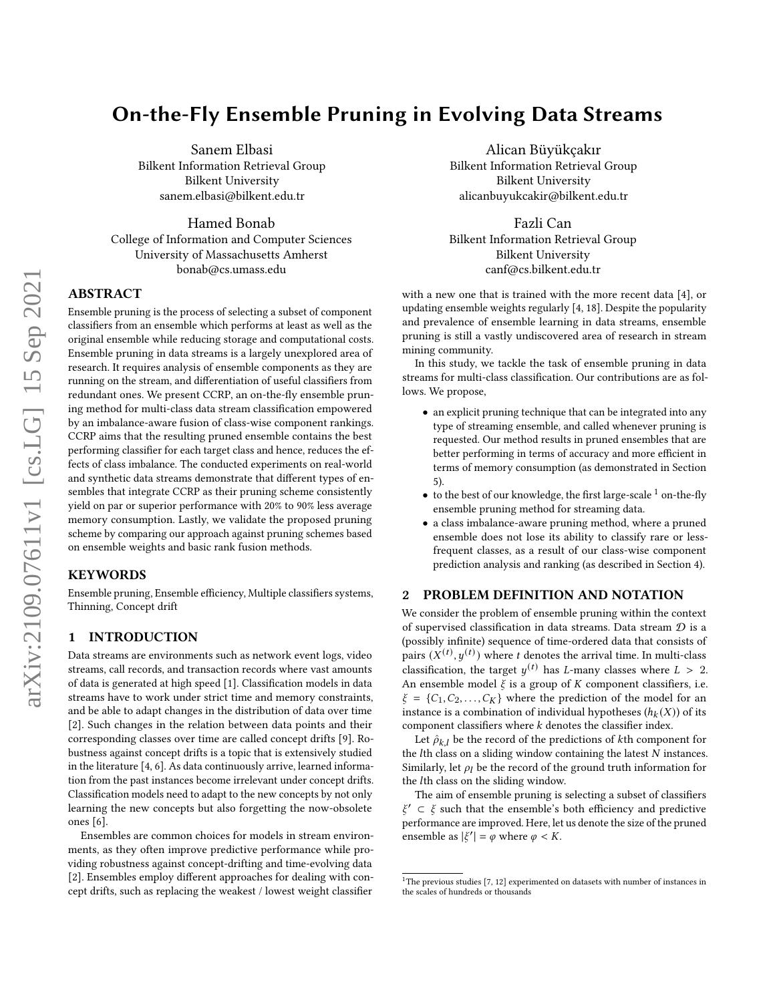# On-the-Fly Ensemble Pruning in Evolving Data Streams

Sanem Elbasi Bilkent Information Retrieval Group Bilkent University sanem.elbasi@bilkent.edu.tr

Hamed Bonab College of Information and Computer Sciences University of Massachusetts Amherst bonab@cs.umass.edu

## ABSTRACT

Ensemble pruning is the process of selecting a subset of component classifiers from an ensemble which performs at least as well as the original ensemble while reducing storage and computational costs. Ensemble pruning in data streams is a largely unexplored area of research. It requires analysis of ensemble components as they are running on the stream, and differentiation of useful classifiers from redundant ones. We present CCRP, an on-the-fly ensemble pruning method for multi-class data stream classification empowered by an imbalance-aware fusion of class-wise component rankings. CCRP aims that the resulting pruned ensemble contains the best performing classifier for each target class and hence, reduces the effects of class imbalance. The conducted experiments on real-world and synthetic data streams demonstrate that different types of ensembles that integrate CCRP as their pruning scheme consistently yield on par or superior performance with 20% to 90% less average memory consumption. Lastly, we validate the proposed pruning scheme by comparing our approach against pruning schemes based on ensemble weights and basic rank fusion methods.

## **KEYWORDS**

Ensemble pruning, Ensemble efficiency, Multiple classifiers systems, Thinning, Concept drift

#### 1 INTRODUCTION

Data streams are environments such as network event logs, video streams, call records, and transaction records where vast amounts of data is generated at high speed [\[1\]](#page-3-0). Classification models in data streams have to work under strict time and memory constraints, and be able to adapt changes in the distribution of data over time [\[2\]](#page-3-1). Such changes in the relation between data points and their corresponding classes over time are called concept drifts [\[9\]](#page-3-2). Robustness against concept drifts is a topic that is extensively studied in the literature [\[4,](#page-3-3) [6\]](#page-3-4). As data continuously arrive, learned information from the past instances become irrelevant under concept drifts. Classification models need to adapt to the new concepts by not only learning the new concepts but also forgetting the now-obsolete ones [\[6\]](#page-3-4).

Ensembles are common choices for models in stream environments, as they often improve predictive performance while providing robustness against concept-drifting and time-evolving data [\[2\]](#page-3-1). Ensembles employ different approaches for dealing with concept drifts, such as replacing the weakest / lowest weight classifier

Alican Büyükçakır Bilkent Information Retrieval Group Bilkent University alicanbuyukcakir@bilkent.edu.tr

Fazli Can Bilkent Information Retrieval Group Bilkent University canf@cs.bilkent.edu.tr

with a new one that is trained with the more recent data [\[4\]](#page-3-3), or updating ensemble weights regularly [\[4,](#page-3-3) [18\]](#page-3-5). Despite the popularity and prevalence of ensemble learning in data streams, ensemble pruning is still a vastly undiscovered area of research in stream mining community.

In this study, we tackle the task of ensemble pruning in data streams for multi-class classification. Our contributions are as follows. We propose,

- an explicit pruning technique that can be integrated into any type of streaming ensemble, and called whenever pruning is requested. Our method results in pruned ensembles that are better performing in terms of accuracy and more efficient in terms of memory consumption (as demonstrated in Section [5\)](#page-2-0).
- $\bullet$  to the best of our knowledge, the first large-scale  $^1$  $^1$  on-the-fly ensemble pruning method for streaming data.
- a class imbalance-aware pruning method, where a pruned ensemble does not lose its ability to classify rare or lessfrequent classes, as a result of our class-wise component prediction analysis and ranking (as described in Section [4\)](#page-1-0).

## 2 PROBLEM DEFINITION AND NOTATION

We consider the problem of ensemble pruning within the context of supervised classification in data streams. Data stream  $D$  is a (possibly infinite) sequence of time-ordered data that consists of pairs  $(X^{(t)}, y^{(t)})$  where t denotes the arrival time. In multi-class classification, the target  $y^{(t)}$  has L-many classes where  $L > 2$ . An ensemble model  $\xi$  is a group of  $K$  component classifiers, i.e.  $\xi = \{C_1, C_2, \ldots, C_K\}$  where the prediction of the model for an instance is a combination of individual hypotheses  $(h_k(X))$  of its component classifiers where  $k$  denotes the classifier index.

Let  $\hat{\rho}_{k,l}$  be the record of the predictions of kth component for the  $l$ th class on a sliding window containing the latest  $N$  instances. Similarly, let  $\rho_l$  be the record of the ground truth information for the *l*th class on the sliding window.

The aim of ensemble pruning is selecting a subset of classifiers  $\xi' \subset \xi$  such that the ensemble's both efficiency and predictive performance are improved. Here, let us denote the size of the pruned ensemble as  $|\xi'| = \varphi$  where  $\varphi < K$ .

<span id="page-0-0"></span> $1$ <sup>1</sup>The previous studies [\[7,](#page-3-6) [12\]](#page-3-7) experimented on datasets with number of instances in the scales of hundreds or thousands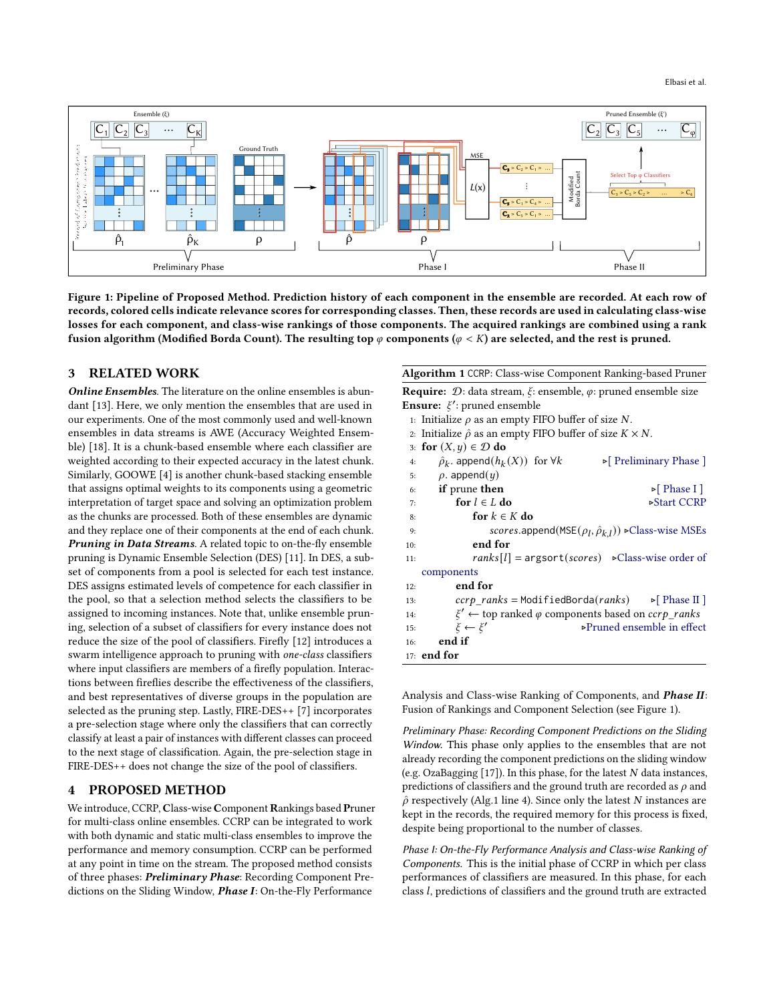<span id="page-1-1"></span>

Figure 1: Pipeline of Proposed Method. Prediction history of each component in the ensemble are recorded. At each row of records, colored cells indicate relevance scores for corresponding classes. Then, these records are used in calculating class-wise losses for each component, and class-wise rankings of those components. The acquired rankings are combined using a rank fusion algorithm (Modified Borda Count). The resulting top  $\varphi$  components ( $\varphi < K$ ) are selected, and the rest is pruned.

#### 3 RELATED WORK

Online Ensembles. The literature on the online ensembles is abundant [\[13\]](#page-3-8). Here, we only mention the ensembles that are used in our experiments. One of the most commonly used and well-known ensembles in data streams is AWE (Accuracy Weighted Ensemble) [\[18\]](#page-3-5). It is a chunk-based ensemble where each classifier are weighted according to their expected accuracy in the latest chunk. Similarly, GOOWE [\[4\]](#page-3-3) is another chunk-based stacking ensemble that assigns optimal weights to its components using a geometric interpretation of target space and solving an optimization problem as the chunks are processed. Both of these ensembles are dynamic and they replace one of their components at the end of each chunk. Pruning in Data Streams. A related topic to on-the-fly ensemble pruning is Dynamic Ensemble Selection (DES) [\[11\]](#page-3-9). In DES, a subset of components from a pool is selected for each test instance. DES assigns estimated levels of competence for each classifier in the pool, so that a selection method selects the classifiers to be assigned to incoming instances. Note that, unlike ensemble pruning, selection of a subset of classifiers for every instance does not reduce the size of the pool of classifiers. Firefly [\[12\]](#page-3-7) introduces a swarm intelligence approach to pruning with one-class classifiers where input classifiers are members of a firefly population. Interactions between fireflies describe the effectiveness of the classifiers, and best representatives of diverse groups in the population are selected as the pruning step. Lastly, FIRE-DES++ [\[7\]](#page-3-6) incorporates a pre-selection stage where only the classifiers that can correctly classify at least a pair of instances with different classes can proceed to the next stage of classification. Again, the pre-selection stage in FIRE-DES++ does not change the size of the pool of classifiers.

#### 4 PROPOSED METHOD

We introduce, CCRP, Class-wise Component Rankings based Pruner for multi-class online ensembles. CCRP can be integrated to work with both dynamic and static multi-class ensembles to improve the performance and memory consumption. CCRP can be performed at any point in time on the stream. The proposed method consists of three phases: Preliminary Phase: Recording Component Predictions on the Sliding Window, Phase I: On-the-Fly Performance

<span id="page-1-2"></span>Algorithm 1 CCRP: Class-wise Component Ranking-based Pruner

**Require:**  $D$ : data stream,  $\xi$ : ensemble,  $\varphi$ : pruned ensemble size **Ensure:**  $\xi'$ : pruned ensemble

|     | 1: Initialize $\rho$ as an empty FIFO buffer of size N.                                  |  |  |  |
|-----|------------------------------------------------------------------------------------------|--|--|--|
|     | 2. Initialize $\hat{\rho}$ as an empty FIFO buffer of size $K \times N$ .                |  |  |  |
|     | 3: for $(X, y) \in \mathcal{D}$ do                                                       |  |  |  |
| 4:  | $\hat{\rho}_k$ append $(h_k(X))$ for $\forall k$<br>$\triangleright$ Preliminary Phase ] |  |  |  |
|     | 5: $\rho$ . append $(y)$                                                                 |  |  |  |
|     | $6:$ if prune then<br>$\triangleright$ Phase I                                           |  |  |  |
|     | for $l \in L$ do<br>⊳Start CCRP<br>7:                                                    |  |  |  |
| 8:  | for $k \in K$ do                                                                         |  |  |  |
| 9:  | scores.append(MSE $(\rho_l, \hat{\rho}_{k,l})$ ) > Class-wise MSEs                       |  |  |  |
| 10: | end for                                                                                  |  |  |  |
| 11: | $ranks[l] = argsort(scores) \rightarrow Class-wise order of$                             |  |  |  |
|     | components                                                                               |  |  |  |
| 12: | end for                                                                                  |  |  |  |
| 13: | $ccrp$ ranks = ModifiedBorda(ranks) $\triangleright$ Phase II                            |  |  |  |
| 14: | $\xi' \leftarrow$ top ranked $\varphi$ components based on $ccrp\_ranks$                 |  |  |  |
| 15: | ⊳Pruned ensemble in effect<br>$\xi \leftarrow \xi'$                                      |  |  |  |
| 16: | end if                                                                                   |  |  |  |
|     | $17:$ end for                                                                            |  |  |  |

Analysis and Class-wise Ranking of Components, and Phase II: Fusion of Rankings and Component Selection (see Figure [1\)](#page-1-1).

Preliminary Phase: Recording Component Predictions on the Sliding Window. This phase only applies to the ensembles that are not already recording the component predictions on the sliding window (e.g. OzaBagging  $[17]$ ). In this phase, for the latest  $N$  data instances, predictions of classifiers and the ground truth are recorded as  $\rho$  and  $\hat{\rho}$  respectively (Alg[.1](#page-1-2) line [4\)](#page-1-2). Since only the latest N instances are kept in the records, the required memory for this process is fixed, despite being proportional to the number of classes.

<span id="page-1-0"></span>Phase I: On-the-Fly Performance Analysis and Class-wise Ranking of Components. This is the initial phase of CCRP in which per class performances of classifiers are measured. In this phase, for each class *l*, predictions of classifiers and the ground truth are extracted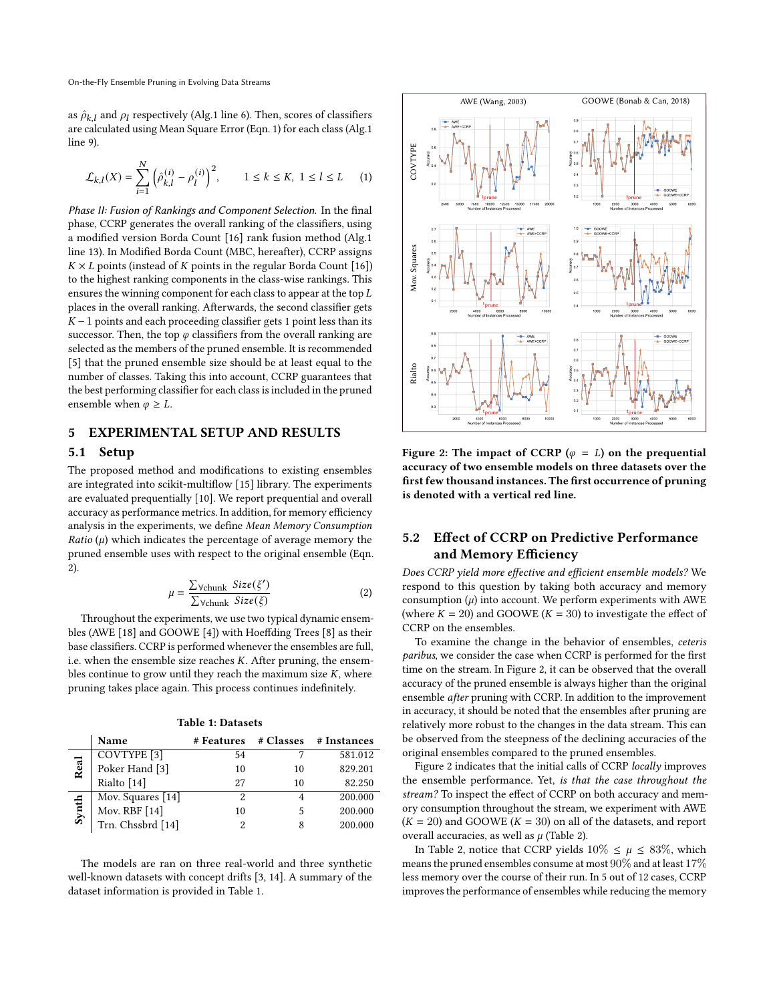as  $\hat{\rho}_{k,l}$  and  $\rho_l$  respectively (Alg[.1](#page-1-2) line [6\)](#page-1-2). Then, scores of classifiers are calculated using Mean Square Error (Eqn. [1\)](#page-2-1) for each class (Alg[.1](#page-1-2) line [9\)](#page-1-2).

<span id="page-2-1"></span>
$$
\mathcal{L}_{k,l}(X) = \sum_{i=1}^{N} \left( \hat{\rho}_{k,l}^{(i)} - \rho_l^{(i)} \right)^2, \qquad 1 \le k \le K, \ 1 \le l \le L \tag{1}
$$

Phase II: Fusion of Rankings and Component Selection. In the final phase, CCRP generates the overall ranking of the classifiers, using a modified version Borda Count [\[16\]](#page-3-11) rank fusion method (Alg[.1](#page-1-2) line [13\)](#page-1-2). In Modified Borda Count (MBC, hereafter), CCRP assigns  $K \times L$  points (instead of  $K$  points in the regular Borda Count [\[16\]](#page-3-11)) to the highest ranking components in the class-wise rankings. This ensures the winning component for each class to appear at the top  $L$ places in the overall ranking. Afterwards, the second classifier gets  $K-1$  points and each proceeding classifier gets 1 point less than its successor. Then, the top  $\varphi$  classifiers from the overall ranking are selected as the members of the pruned ensemble. It is recommended [\[5\]](#page-3-12) that the pruned ensemble size should be at least equal to the number of classes. Taking this into account, CCRP guarantees that the best performing classifier for each class is included in the pruned ensemble when  $\varphi \geq L$ .

## <span id="page-2-0"></span>5 EXPERIMENTAL SETUP AND RESULTS

#### 5.1 Setup

The proposed method and modifications to existing ensembles are integrated into scikit-multiflow [\[15\]](#page-3-13) library. The experiments are evaluated prequentially [\[10\]](#page-3-14). We report prequential and overall accuracy as performance metrics. In addition, for memory efficiency analysis in the experiments, we define Mean Memory Consumption  $Ratio (\mu)$  which indicates the percentage of average memory the pruned ensemble uses with respect to the original ensemble (Eqn. [2\)](#page-2-2).

<span id="page-2-2"></span>
$$
\mu = \frac{\sum_{\text{Vchunk}} \text{Size}(\xi')}{\sum_{\text{Vchunk}} \text{Size}(\xi)} \tag{2}
$$

Throughout the experiments, we use two typical dynamic ensembles (AWE [\[18\]](#page-3-5) and GOOWE [\[4\]](#page-3-3)) with Hoeffding Trees [\[8\]](#page-3-15) as their base classifiers. CCRP is performed whenever the ensembles are full, i.e. when the ensemble size reaches  $K$ . After pruning, the ensembles continue to grow until they reach the maximum size  $K$ , where pruning takes place again. This process continues indefinitely.

<span id="page-2-3"></span>

|       | Name                   | # Features |    | # Classes # Instances |
|-------|------------------------|------------|----|-----------------------|
| Real  | COVTYPE <sup>[3]</sup> | 54         |    | 581.012               |
|       | Poker Hand [3]         | 10         | 10 | 829.201               |
|       | Rialto [14]            | 27         | 10 | 82.250                |
| Synth | Mov. Squares [14]      | 2          |    | 200.000               |
|       | Mov. RBF [14]          | 10         | 5  | 200.000               |
|       | Trn. Chssbrd [14]      | 2          | 8  | 200.000               |

Table 1: Datasets

The models are ran on three real-world and three synthetic well-known datasets with concept drifts [\[3,](#page-3-16) [14\]](#page-3-17). A summary of the dataset information is provided in Table [1.](#page-2-3)

<span id="page-2-4"></span>

Figure 2: The impact of CCRP ( $\varphi = L$ ) on the prequential accuracy of two ensemble models on three datasets over the first few thousand instances. The first occurrence of pruning is denoted with a vertical red line.

# 5.2 Effect of CCRP on Predictive Performance and Memory Efficiency

Does CCRP yield more effective and efficient ensemble models? We respond to this question by taking both accuracy and memory consumption  $(\mu)$  into account. We perform experiments with AWE (where  $K = 20$ ) and GOOWE ( $K = 30$ ) to investigate the effect of CCRP on the ensembles.

To examine the change in the behavior of ensembles, ceteris paribus, we consider the case when CCRP is performed for the first time on the stream. In Figure [2,](#page-2-4) it can be observed that the overall accuracy of the pruned ensemble is always higher than the original ensemble after pruning with CCRP. In addition to the improvement in accuracy, it should be noted that the ensembles after pruning are relatively more robust to the changes in the data stream. This can be observed from the steepness of the declining accuracies of the original ensembles compared to the pruned ensembles.

Figure [2](#page-2-4) indicates that the initial calls of CCRP locally improves the ensemble performance. Yet, is that the case throughout the stream? To inspect the effect of CCRP on both accuracy and memory consumption throughout the stream, we experiment with AWE  $(K = 20)$  and GOOWE  $(K = 30)$  on all of the datasets, and report overall accuracies, as well as  $\mu$  (Table [2\)](#page-3-18).

In Table [2,](#page-3-18) notice that CCRP yields  $10\% \leq \mu \leq 83\%$ , which means the pruned ensembles consume at most  $90\%$  and at least  $17\%$ less memory over the course of their run. In 5 out of 12 cases, CCRP improves the performance of ensembles while reducing the memory